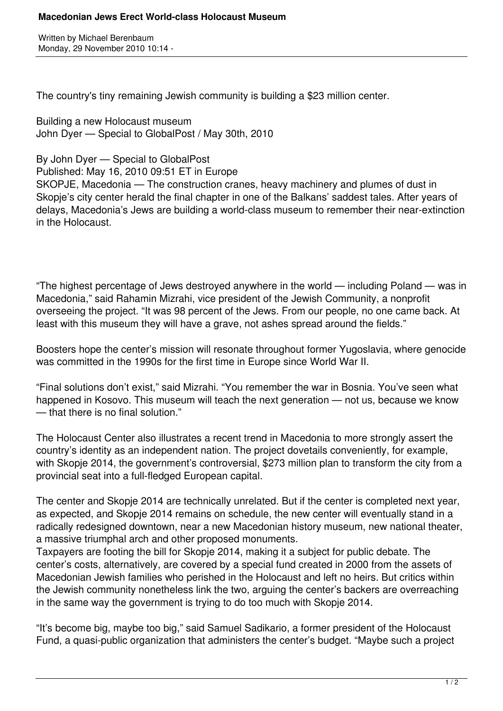## **Macedonian Jews Erect World-class Holocaust Museum**

Written by Michael Berenbaum Monday, 29 November 2010 10:14 -

The country's tiny remaining Jewish community is building a \$23 million center.

Building a new Holocaust museum John Dyer — Special to GlobalPost / May 30th, 2010

By John Dyer — Special to GlobalPost

Published: May 16, 2010 09:51 ET in Europe

SKOPJE, Macedonia — The construction cranes, heavy machinery and plumes of dust in Skopje's city center herald the final chapter in one of the Balkans' saddest tales. After years of delays, Macedonia's Jews are building a world-class museum to remember their near-extinction in the Holocaust.

"The highest percentage of Jews destroyed anywhere in the world — including Poland — was in Macedonia," said Rahamin Mizrahi, vice president of the Jewish Community, a nonprofit overseeing the project. "It was 98 percent of the Jews. From our people, no one came back. At least with this museum they will have a grave, not ashes spread around the fields."

Boosters hope the center's mission will resonate throughout former Yugoslavia, where genocide was committed in the 1990s for the first time in Europe since World War II.

"Final solutions don't exist," said Mizrahi. "You remember the war in Bosnia. You've seen what happened in Kosovo. This museum will teach the next generation — not us, because we know — that there is no final solution."

The Holocaust Center also illustrates a recent trend in Macedonia to more strongly assert the country's identity as an independent nation. The project dovetails conveniently, for example, with Skopje 2014, the government's controversial, \$273 million plan to transform the city from a provincial seat into a full-fledged European capital.

The center and Skopje 2014 are technically unrelated. But if the center is completed next year, as expected, and Skopje 2014 remains on schedule, the new center will eventually stand in a radically redesigned downtown, near a new Macedonian history museum, new national theater, a massive triumphal arch and other proposed monuments.

Taxpayers are footing the bill for Skopje 2014, making it a subject for public debate. The center's costs, alternatively, are covered by a special fund created in 2000 from the assets of Macedonian Jewish families who perished in the Holocaust and left no heirs. But critics within the Jewish community nonetheless link the two, arguing the center's backers are overreaching in the same way the government is trying to do too much with Skopje 2014.

"It's become big, maybe too big," said Samuel Sadikario, a former president of the Holocaust Fund, a quasi-public organization that administers the center's budget. "Maybe such a project